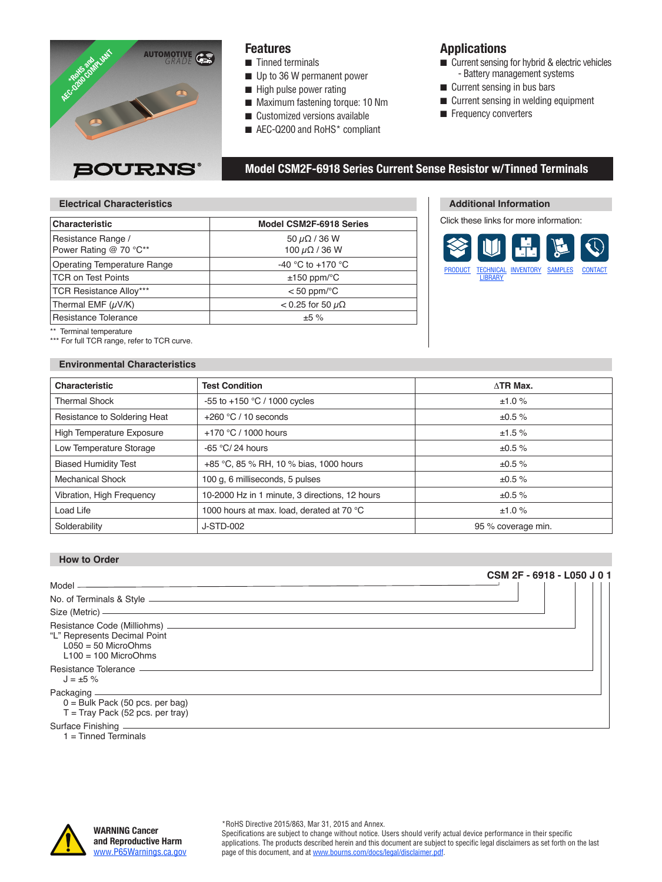

#### **Features**

- $\blacksquare$  Tinned terminals
- $\blacksquare$  Up to 36 W permanent power
- $\blacksquare$  High pulse power rating
- $\blacksquare$  Maximum fastening torque: 10 Nm
- $\blacksquare$  Customized versions available
- $\blacksquare$  AEC-Q200 and RoHS\* compliant

#### **Applications**

- $\blacksquare$  Current sensing for hybrid & electric vehicles - Battery management systems
- $\blacksquare$  Current sensing in bus bars

**Additional Information** Click these links for more information:

[LIBRARY](https://www.bourns.com/resources/technical-library/library-documents/resistors-technical-library)

[PRODUCT](https://www.bourns.com/products/resistors/fixed-resistors-aec-q200-compliant-resistors) [TECHNICAL](https://www.bourns.com/resources/technical-library/library-documents/resistors-technical-library) [INVENTORY](https://www.bourns.com/inventory-search-results?PARTS=csm2f-6918) [SAMPLES](https://www.bourns.com/support/request-samples) [CONTACT](https://www.bourns.com/support/contact)

- $\blacksquare$  Current sensing in welding equipment
- **Frequency converters**

#### **Model CSM2F-6918 Series Current Sense Resistor w/Tinned Terminals**

#### **Electrical Characteristics**

| <b>Characteristic</b>                        | Model CSM2F-6918 Series                         |
|----------------------------------------------|-------------------------------------------------|
| Resistance Range /<br>Power Rating @ 70 °C** | 50 $\mu\Omega$ / 36 W<br>100 $\mu\Omega$ / 36 W |
| <b>Operating Temperature Range</b>           | -40 °C to +170 °C                               |
| <b>TCR on Test Points</b>                    | $±150$ ppm/ $°C$                                |
| <b>TCR Resistance Alloy***</b>               | $<$ 50 ppm/ $\degree$ C                         |
| Thermal EMF (µV/K)                           | $<$ 0.25 for 50 $\mu\Omega$                     |
| Resistance Tolerance                         | ±5%                                             |

Terminal temperature

\*\*\* For full TCR range, refer to TCR curve.

#### **Environmental Characteristics**

| <b>Characteristic</b>            | <b>Test Condition</b>                          | $\wedge$ TR Max.   |
|----------------------------------|------------------------------------------------|--------------------|
| <b>Thermal Shock</b>             | -55 to +150 $^{\circ}$ C / 1000 cycles         | ±1.0%              |
| Resistance to Soldering Heat     | $+260$ °C / 10 seconds                         | ±0.5%              |
| <b>High Temperature Exposure</b> | +170 °C / 1000 hours                           | ±1.5%              |
| Low Temperature Storage          | -65 $\degree$ C/24 hours                       | ±0.5%              |
| <b>Biased Humidity Test</b>      | +85 °C, 85 % RH, 10 % bias, 1000 hours         | ±0.5%              |
| <b>Mechanical Shock</b>          | 100 g, 6 milliseconds, 5 pulses                | ±0.5%              |
| Vibration, High Frequency        | 10-2000 Hz in 1 minute, 3 directions, 12 hours | ±0.5%              |
| Load Life                        | 1000 hours at max. load, derated at 70 °C      | ±1.0%              |
| Solderability                    | J-STD-002                                      | 95 % coverage min. |

#### **How to Order**

|                                                                                                                              | CSM 2F - 6918 - L050 J 0 1 |
|------------------------------------------------------------------------------------------------------------------------------|----------------------------|
|                                                                                                                              |                            |
| No. of Terminals & Style ____________                                                                                        |                            |
| Size (Metric) ——————                                                                                                         |                            |
| Resistance Code (Milliohms) _____________<br>"L" Represents Decimal Point<br>$L050 = 50$ MicroOhms<br>$L100 = 100$ MicroOhms |                            |
| Resistance Tolerance —————<br>$J = \pm 5 \%$                                                                                 |                            |
| Packaging -<br>$0 =$ Bulk Pack (50 pcs. per bag)<br>$T =$ Tray Pack (52 pcs. per tray)                                       |                            |
|                                                                                                                              |                            |

1 = Tinned Terminals



#### \*RoHS Directive 2015/863, Mar 31, 2015 and Annex.

Specifications are subject to change without notice. Users should verify actual device performance in their specific applications. The products described herein and this document are subject to specific legal disclaimers as set forth on the last page of this document, and at www.bourns.com/docs/legal/disclaimer.pdf.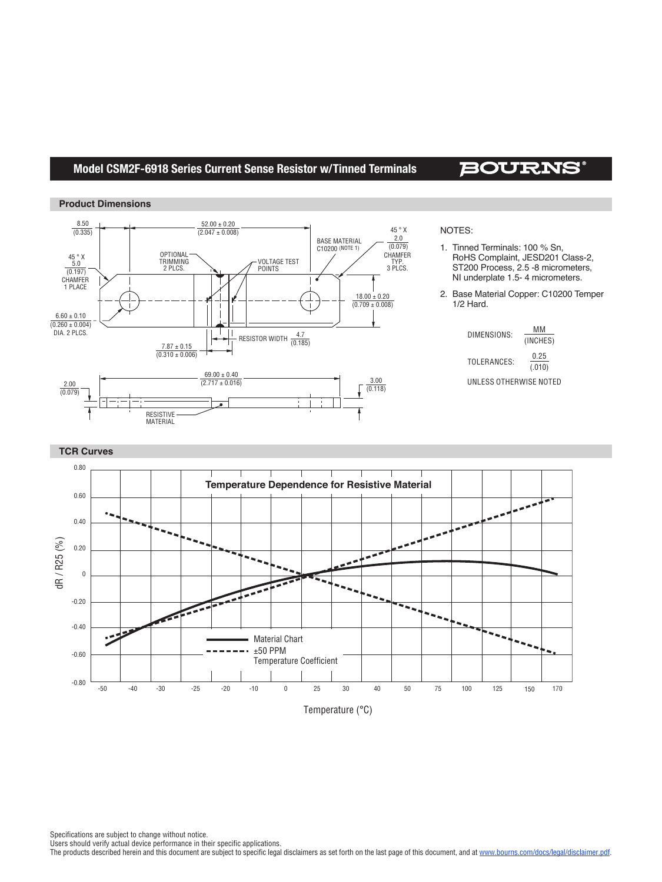### **Model CSM2F-6918 Series Current Sense Resistor w/Tinned Terminals**

# **BOURNS®**





#### NOTES:

- 1. Tinned Terminals: 100 % Sn, RoHS Complaint, JESD201 Class-2, ST200 Process, 2.5 -8 micrometers, NI underplate 1.5- 4 micrometers.
- 2. Base Material Copper: C10200 Temper 1/2 Hard.

| DIMENSIONS: | мм<br>(INCHES) |
|-------------|----------------|
| TOLERANCES: | 0.25<br>(.010) |

UNLESS OTHERWISE NOTED



Specifications are subject to change without notice.

Users should verify actual device performance in their specific applications.

The products described herein and this document are subject to specific legal disclaimers as set forth on the last page of this document, and at www.bourns.com/docs/legal/disclaimer.pdf.